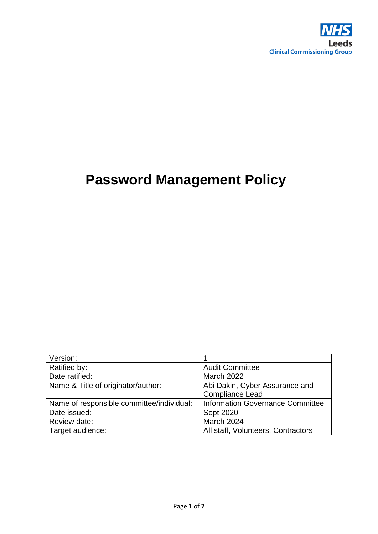

# **Password Management Policy**

| Version:                                  |                                    |  |
|-------------------------------------------|------------------------------------|--|
| Ratified by:                              | <b>Audit Committee</b>             |  |
| Date ratified:                            | <b>March 2022</b>                  |  |
| Name & Title of originator/author:        | Abi Dakin, Cyber Assurance and     |  |
|                                           | <b>Compliance Lead</b>             |  |
| Name of responsible committee/individual: | Information Governance Committee   |  |
| Date issued:                              | <b>Sept 2020</b>                   |  |
| Review date:                              | March 2024                         |  |
| Target audience:                          | All staff, Volunteers, Contractors |  |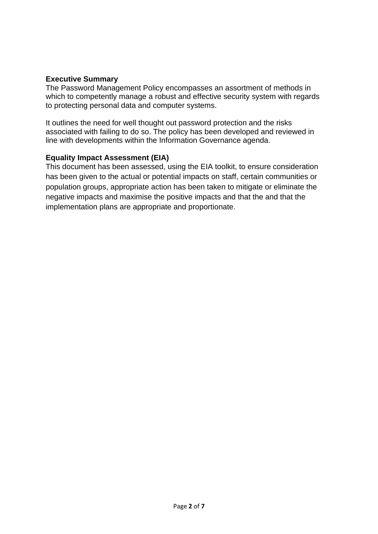#### **Executive Summary**

The Password Management Policy encompasses an assortment of methods in which to competently manage a robust and effective security system with regards to protecting personal data and computer systems.

It outlines the need for well thought out password protection and the risks associated with failing to do so. The policy has been developed and reviewed in line with developments within the Information Governance agenda.

#### **Equality Impact Assessment (EIA)**

This document has been assessed, using the EIA toolkit, to ensure consideration has been given to the actual or potential impacts on staff, certain communities or population groups, appropriate action has been taken to mitigate or eliminate the negative impacts and maximise the positive impacts and that the and that the implementation plans are appropriate and proportionate.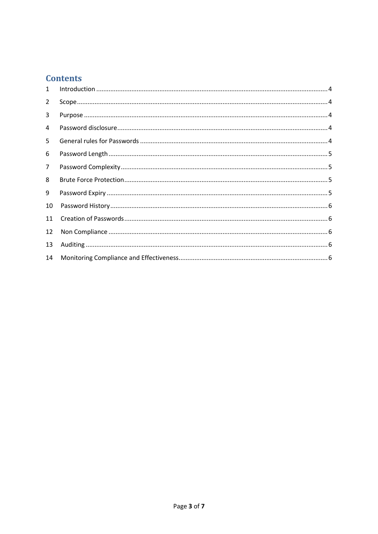# **Contents**

| $\mathbf{1}$ |  |
|--------------|--|
| 2            |  |
| 3            |  |
| 4            |  |
| 5.           |  |
| 6            |  |
| 7            |  |
| 8            |  |
| 9            |  |
| 10           |  |
| 11           |  |
| 12           |  |
| 13           |  |
| 14           |  |
|              |  |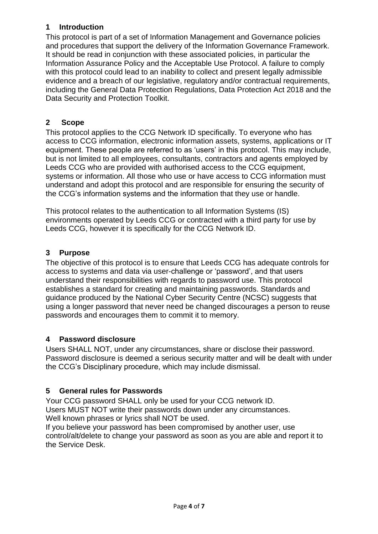## <span id="page-3-0"></span>**1 Introduction**

This protocol is part of a set of Information Management and Governance policies and procedures that support the delivery of the Information Governance Framework. It should be read in conjunction with these associated policies, in particular the Information Assurance Policy and the Acceptable Use Protocol. A failure to comply with this protocol could lead to an inability to collect and present legally admissible evidence and a breach of our legislative, regulatory and/or contractual requirements, including the General Data Protection Regulations, Data Protection Act 2018 and the Data Security and Protection Toolkit.

## <span id="page-3-1"></span>**2 Scope**

This protocol applies to the CCG Network ID specifically. To everyone who has access to CCG information, electronic information assets, systems, applications or IT equipment. These people are referred to as 'users' in this protocol. This may include, but is not limited to all employees, consultants, contractors and agents employed by Leeds CCG who are provided with authorised access to the CCG equipment, systems or information. All those who use or have access to CCG information must understand and adopt this protocol and are responsible for ensuring the security of the CCG's information systems and the information that they use or handle.

This protocol relates to the authentication to all Information Systems (IS) environments operated by Leeds CCG or contracted with a third party for use by Leeds CCG, however it is specifically for the CCG Network ID.

#### <span id="page-3-2"></span>**3 Purpose**

The objective of this protocol is to ensure that Leeds CCG has adequate controls for access to systems and data via user-challenge or 'password', and that users understand their responsibilities with regards to password use. This protocol establishes a standard for creating and maintaining passwords. Standards and guidance produced by the National Cyber Security Centre (NCSC) suggests that using a longer password that never need be changed discourages a person to reuse passwords and encourages them to commit it to memory.

#### <span id="page-3-3"></span>**4 Password disclosure**

Users SHALL NOT, under any circumstances, share or disclose their password. Password disclosure is deemed a serious security matter and will be dealt with under the CCG's Disciplinary procedure, which may include dismissal.

## <span id="page-3-4"></span>**5 General rules for Passwords**

Your CCG password SHALL only be used for your CCG network ID. Users MUST NOT write their passwords down under any circumstances. Well known phrases or lyrics shall NOT be used.

If you believe your password has been compromised by another user, use control/alt/delete to change your password as soon as you are able and report it to the Service Desk.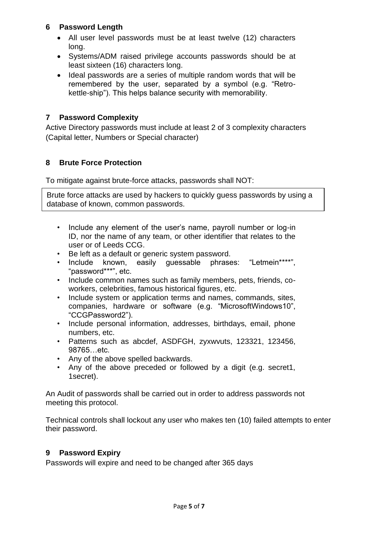#### <span id="page-4-1"></span><span id="page-4-0"></span>**6 Password Length**

- All user level passwords must be at least twelve (12) characters long.
- Systems/ADM raised privilege accounts passwords should be at least sixteen (16) characters long.
- Ideal passwords are a series of multiple random words that will be remembered by the user, separated by a symbol (e.g. "Retrokettle-ship"). This helps balance security with memorability.

#### **7 Password Complexity**

<span id="page-4-2"></span>Active Directory passwords must include at least 2 of 3 complexity characters (Capital letter, Numbers or Special character)

#### **8 Brute Force Protection**

To mitigate against brute-force attacks, passwords shall NOT:

Brute force attacks are used by hackers to quickly guess passwords by using a database of known, common passwords.

- Include any element of the user's name, payroll number or log-in ID, nor the name of any team, or other identifier that relates to the user or of Leeds CCG.
- Be left as a default or generic system password.
- Include known, easily guessable phrases: "Letmein\*\*\*\*", "password\*\*\*", etc.
- Include common names such as family members, pets, friends, coworkers, celebrities, famous historical figures, etc.
- Include system or application terms and names, commands, sites, companies, hardware or software (e.g. "MicrosoftWindows10", "CCGPassword2").
- Include personal information, addresses, birthdays, email, phone numbers, etc.
- Patterns such as abcdef, ASDFGH, zyxwvuts, 123321, 123456, 98765…etc.
- Any of the above spelled backwards.
- Any of the above preceded or followed by a digit (e.g. secret1, 1secret).

An Audit of passwords shall be carried out in order to address passwords not meeting this protocol.

Technical controls shall lockout any user who makes ten (10) failed attempts to enter their password.

#### <span id="page-4-3"></span>**9 Password Expiry**

Passwords will expire and need to be changed after 365 days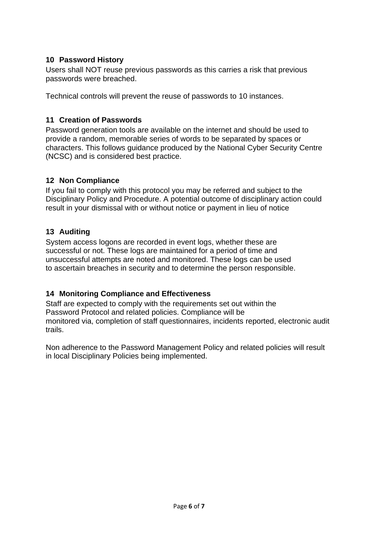#### <span id="page-5-0"></span>**10 Password History**

Users shall NOT reuse previous passwords as this carries a risk that previous passwords were breached.

<span id="page-5-1"></span>Technical controls will prevent the reuse of passwords to 10 instances.

#### **11 Creation of Passwords**

Password generation tools are available on the internet and should be used to provide a random, memorable series of words to be separated by spaces or characters. This follows guidance produced by the National Cyber Security Centre (NCSC) and is considered best practice.

#### <span id="page-5-2"></span>**12 Non Compliance**

If you fail to comply with this protocol you may be referred and subject to the Disciplinary Policy and Procedure. A potential outcome of disciplinary action could result in your dismissal with or without notice or payment in lieu of notice

#### <span id="page-5-3"></span>**13 Auditing**

System access logons are recorded in event logs, whether these are successful or not. These logs are maintained for a period of time and unsuccessful attempts are noted and monitored. These logs can be used to ascertain breaches in security and to determine the person responsible.

#### <span id="page-5-4"></span>**14 Monitoring Compliance and Effectiveness**

Staff are expected to comply with the requirements set out within the Password Protocol and related policies. Compliance will be monitored via, completion of staff questionnaires, incidents reported, electronic audit trails.

Non adherence to the Password Management Policy and related policies will result in local Disciplinary Policies being implemented.